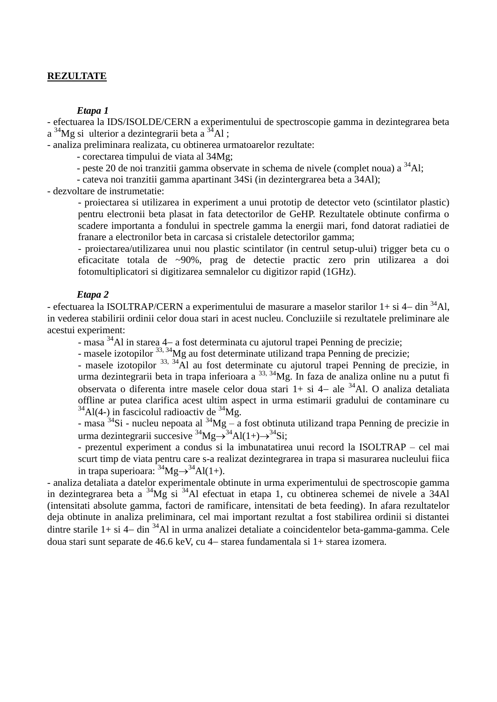# **REZULTATE**

*Etapa 1* 

- efectuarea la IDS/ISOLDE/CERN a experimentului de spectroscopie gamma in dezintegrarea beta  $a^{34}Mg$  si ulterior a dezintegrarii beta  $a^{34}Al$ ;

- analiza preliminara realizata, cu obtinerea urmatoarelor rezultate:

- corectarea timpului de viata al 34Mg;

- peste 20 de noi tranzitii gamma observate in schema de nivele (complet noua) a  $34$ Al:

- cateva noi tranzitii gamma apartinant 34Si (in dezintergrarea beta a 34Al);

- dezvoltare de instrumetatie:

- proiectarea si utilizarea in experiment a unui prototip de detector veto (scintilator plastic) pentru electronii beta plasat in fata detectorilor de GeHP. Rezultatele obtinute confirma o scadere importanta a fondului in spectrele gamma la energii mari, fond datorat radiatiei de franare a electronilor beta in carcasa si cristalele detectorilor gamma;

- proiectarea/utilizarea unui nou plastic scintilator (in centrul setup-ului) trigger beta cu o eficacitate totala de ~90%, prag de detectie practic zero prin utilizarea a doi fotomultiplicatori si digitizarea semnalelor cu digitizor rapid (1GHz).

#### *Etapa 2*

- efectuarea la ISOLTRAP/CERN a experimentului de masurare a maselor starilor  $1+$  si  $4-$  din  $34$ Al, in vederea stabilirii ordinii celor doua stari in acest nucleu. Concluziile si rezultatele preliminare ale acestui experiment:

- masa  $34$ Al in starea 4– a fost determinata cu ajutorul trapei Penning de precizie;

- masele izotopilor <sup>33, 34</sup>Mg au fost determinate utilizand trapa Penning de precizie;

- masele izotopilor <sup>33, 34</sup>Al au fost determinate cu ajutorul trapei Penning de precizie, in urma dezintegrarii beta in trapa inferioara a 33, 34Mg. In faza de analiza online nu a putut fi observata o diferenta intre masele celor doua stari  $1+$  si  $4-$  ale  $34$ Al. O analiza detaliata offline ar putea clarifica acest ultim aspect in urma estimarii gradului de contaminare cu  $34$ Al(4-) in fascicolul radioactiv de  $34$ Mg.

- masa  $34$ Si - nucleu nepoata al  $34$ Mg – a fost obtinuta utilizand trapa Penning de precizie in urma dezintegrarii succesive  ${}^{34}Mg\rightarrow{}^{34}Al(1+\rightarrow{}^{34}Si;$ 

- prezentul experiment a condus si la imbunatatirea unui record la ISOLTRAP – cel mai scurt timp de viata pentru care s-a realizat dezintegrarea in trapa si masurarea nucleului fiica in trapa superioara:  $34Mg \rightarrow 34Al(1+)$ .

- analiza detaliata a datelor experimentale obtinute in urma experimentului de spectroscopie gamma in dezintegrarea beta a <sup>34</sup>Mg si <sup>34</sup>Al efectuat in etapa 1, cu obtinerea schemei de nivele a 34Al (intensitati absolute gamma, factori de ramificare, intensitati de beta feeding). In afara rezultatelor deja obtinute in analiza preliminara, cel mai important rezultat a fost stabilirea ordinii si distantei dintre starile  $1+$  si  $4-$  din  $34$ Al in urma analizei detaliate a coincidentelor beta-gamma-gamma. Cele doua stari sunt separate de 46.6 keV, cu 4- starea fundamentala si 1+ starea izomera.